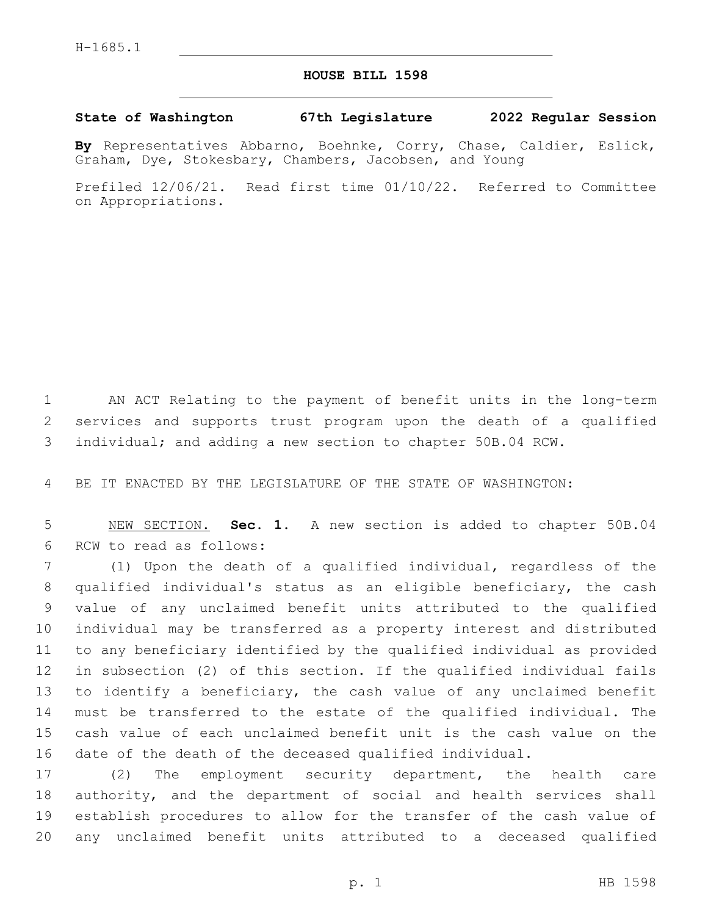## **HOUSE BILL 1598**

## **State of Washington 67th Legislature 2022 Regular Session**

**By** Representatives Abbarno, Boehnke, Corry, Chase, Caldier, Eslick, Graham, Dye, Stokesbary, Chambers, Jacobsen, and Young

Prefiled 12/06/21. Read first time 01/10/22. Referred to Committee on Appropriations.

 AN ACT Relating to the payment of benefit units in the long-term services and supports trust program upon the death of a qualified individual; and adding a new section to chapter 50B.04 RCW.

BE IT ENACTED BY THE LEGISLATURE OF THE STATE OF WASHINGTON:

 NEW SECTION. **Sec. 1.** A new section is added to chapter 50B.04 6 RCW to read as follows:

 (1) Upon the death of a qualified individual, regardless of the qualified individual's status as an eligible beneficiary, the cash value of any unclaimed benefit units attributed to the qualified individual may be transferred as a property interest and distributed to any beneficiary identified by the qualified individual as provided in subsection (2) of this section. If the qualified individual fails to identify a beneficiary, the cash value of any unclaimed benefit must be transferred to the estate of the qualified individual. The cash value of each unclaimed benefit unit is the cash value on the date of the death of the deceased qualified individual.

 (2) The employment security department, the health care authority, and the department of social and health services shall establish procedures to allow for the transfer of the cash value of any unclaimed benefit units attributed to a deceased qualified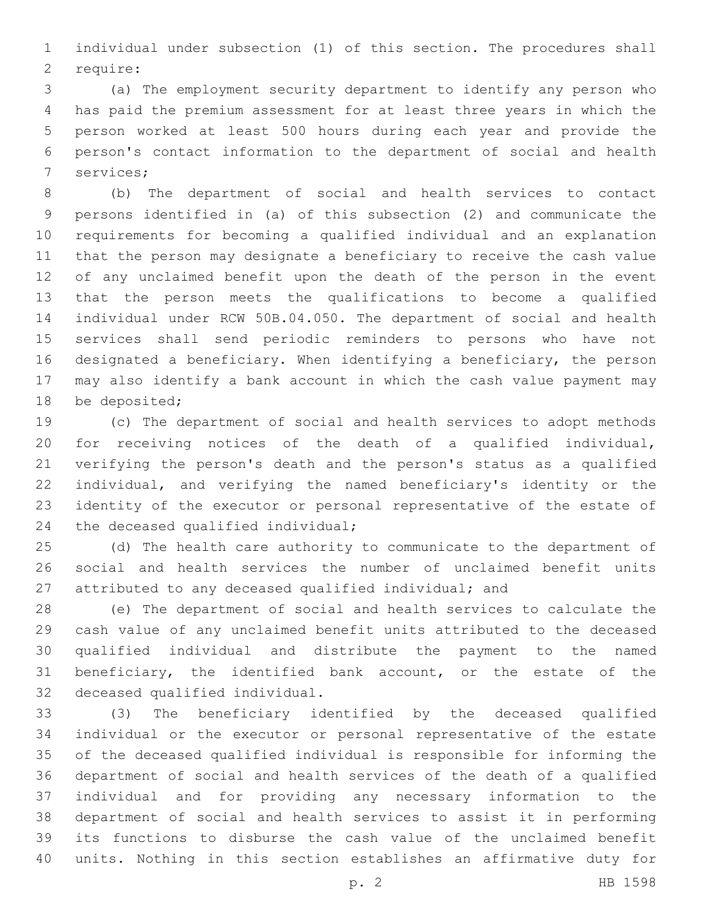individual under subsection (1) of this section. The procedures shall 2 require:

 (a) The employment security department to identify any person who has paid the premium assessment for at least three years in which the person worked at least 500 hours during each year and provide the person's contact information to the department of social and health 7 services;

 (b) The department of social and health services to contact persons identified in (a) of this subsection (2) and communicate the requirements for becoming a qualified individual and an explanation that the person may designate a beneficiary to receive the cash value of any unclaimed benefit upon the death of the person in the event that the person meets the qualifications to become a qualified individual under RCW 50B.04.050. The department of social and health services shall send periodic reminders to persons who have not designated a beneficiary. When identifying a beneficiary, the person may also identify a bank account in which the cash value payment may 18 be deposited;

 (c) The department of social and health services to adopt methods for receiving notices of the death of a qualified individual, verifying the person's death and the person's status as a qualified individual, and verifying the named beneficiary's identity or the identity of the executor or personal representative of the estate of 24 the deceased qualified individual;

 (d) The health care authority to communicate to the department of social and health services the number of unclaimed benefit units attributed to any deceased qualified individual; and

 (e) The department of social and health services to calculate the cash value of any unclaimed benefit units attributed to the deceased qualified individual and distribute the payment to the named beneficiary, the identified bank account, or the estate of the 32 deceased qualified individual.

 (3) The beneficiary identified by the deceased qualified individual or the executor or personal representative of the estate of the deceased qualified individual is responsible for informing the department of social and health services of the death of a qualified individual and for providing any necessary information to the department of social and health services to assist it in performing its functions to disburse the cash value of the unclaimed benefit units. Nothing in this section establishes an affirmative duty for